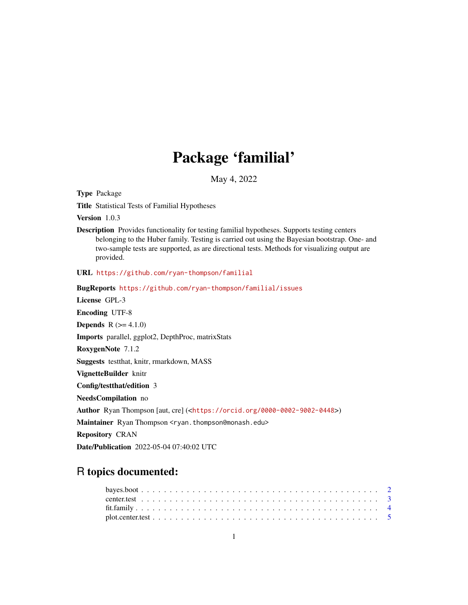## Package 'familial'

May 4, 2022

Type Package

Title Statistical Tests of Familial Hypotheses

Version 1.0.3

Description Provides functionality for testing familial hypotheses. Supports testing centers belonging to the Huber family. Testing is carried out using the Bayesian bootstrap. One- and two-sample tests are supported, as are directional tests. Methods for visualizing output are provided.

URL <https://github.com/ryan-thompson/familial>

BugReports <https://github.com/ryan-thompson/familial/issues>

License GPL-3

Encoding UTF-8

**Depends** R  $(>= 4.1.0)$ 

Imports parallel, ggplot2, DepthProc, matrixStats

RoxygenNote 7.1.2

Suggests testthat, knitr, rmarkdown, MASS

VignetteBuilder knitr

Config/testthat/edition 3

NeedsCompilation no

Author Ryan Thompson [aut, cre] (<<https://orcid.org/0000-0002-9002-0448>>)

Maintainer Ryan Thompson <ryan.thompson@monash.edu>

Repository CRAN

Date/Publication 2022-05-04 07:40:02 UTC

### R topics documented: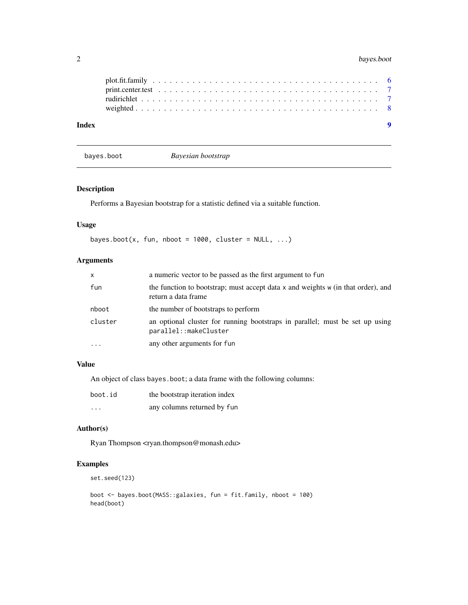<span id="page-1-0"></span>

| Index |  |  |  |  |  |  |  |  |  |  |  |  |  |  |  |  |  |  |
|-------|--|--|--|--|--|--|--|--|--|--|--|--|--|--|--|--|--|--|
|       |  |  |  |  |  |  |  |  |  |  |  |  |  |  |  |  |  |  |
|       |  |  |  |  |  |  |  |  |  |  |  |  |  |  |  |  |  |  |
|       |  |  |  |  |  |  |  |  |  |  |  |  |  |  |  |  |  |  |
|       |  |  |  |  |  |  |  |  |  |  |  |  |  |  |  |  |  |  |

bayes.boot *Bayesian bootstrap*

#### Description

Performs a Bayesian bootstrap for a statistic defined via a suitable function.

#### Usage

```
bayes.boot(x, fun, nboot = 1000, cluster = NULL, ...)
```
#### Arguments

| $\mathsf{x}$ | a numeric vector to be passed as the first argument to fun                                                  |
|--------------|-------------------------------------------------------------------------------------------------------------|
| fun          | the function to bootstrap; must accept data $x$ and weights $w$ (in that order), and<br>return a data frame |
| nboot        | the number of bootstraps to perform                                                                         |
| cluster      | an optional cluster for running bootstraps in parallel; must be set up using<br>parallel::makeCluster       |
| $\cdots$     | any other arguments for fun                                                                                 |

#### Value

An object of class bayes.boot; a data frame with the following columns:

| boot.id  | the bootstrap iteration index |
|----------|-------------------------------|
| $\cdots$ | any columns returned by fun   |

#### Author(s)

Ryan Thompson <ryan.thompson@monash.edu>

#### Examples

set.seed(123)

```
boot <- bayes.boot(MASS::galaxies, fun = fit.family, nboot = 100)
head(boot)
```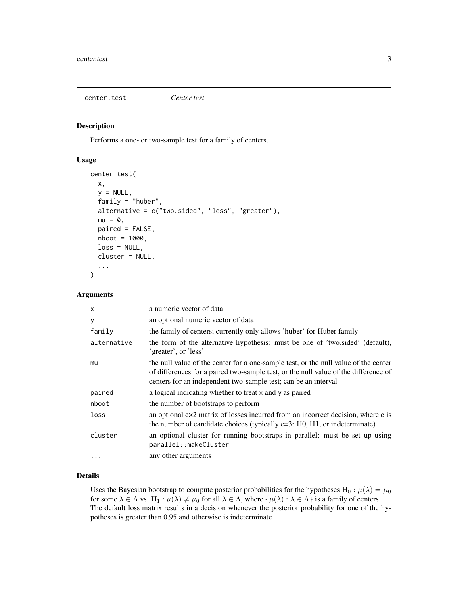<span id="page-2-0"></span>center.test *Center test*

#### Description

Performs a one- or two-sample test for a family of centers.

#### Usage

```
center.test(
  x,
  y = NULL,family = "huber",
  alternative = c("two.sided", "less", "greater"),
 mu = 0,
 paired = FALSE,
 nboot = 1000,loss = NULL,
  cluster = NULL,
  ...
)
```
#### Arguments

| $\mathsf{x}$ | a numeric vector of data                                                                                                                                                                                                                     |
|--------------|----------------------------------------------------------------------------------------------------------------------------------------------------------------------------------------------------------------------------------------------|
| У            | an optional numeric vector of data                                                                                                                                                                                                           |
| family       | the family of centers; currently only allows 'huber' for Huber family                                                                                                                                                                        |
| alternative  | the form of the alternative hypothesis; must be one of 'two.sided' (default),<br>'greater', or 'less'                                                                                                                                        |
| mu           | the null value of the center for a one-sample test, or the null value of the center<br>of differences for a paired two-sample test, or the null value of the difference of<br>centers for an independent two-sample test; can be an interval |
| paired       | a logical indicating whether to treat x and y as paired                                                                                                                                                                                      |
| nboot        | the number of bootstraps to perform                                                                                                                                                                                                          |
| loss         | an optional $cx2$ matrix of losses incurred from an incorrect decision, where c is<br>the number of candidate choices (typically $c=3$ : H0, H1, or indeterminate)                                                                           |
| cluster      | an optional cluster for running bootstraps in parallel; must be set up using<br>parallel::makeCluster                                                                                                                                        |
| $\cdots$     | any other arguments                                                                                                                                                                                                                          |

#### Details

Uses the Bayesian bootstrap to compute posterior probabilities for the hypotheses  $H_0$ :  $\mu(\lambda) = \mu_0$ for some  $\lambda \in \Lambda$  vs.  $H_1 : \mu(\lambda) \neq \mu_0$  for all  $\lambda \in \Lambda$ , where  $\{\mu(\lambda) : \lambda \in \Lambda\}$  is a family of centers. The default loss matrix results in a decision whenever the posterior probability for one of the hypotheses is greater than 0.95 and otherwise is indeterminate.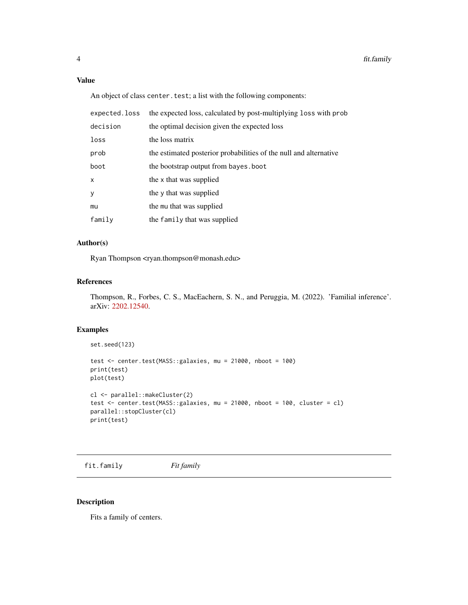#### <span id="page-3-0"></span>Value

An object of class center.test; a list with the following components:

| expected.loss | the expected loss, calculated by post-multiplying loss with prob  |
|---------------|-------------------------------------------------------------------|
| decision      | the optimal decision given the expected loss                      |
| loss          | the loss matrix                                                   |
| prob          | the estimated posterior probabilities of the null and alternative |
| boot          | the bootstrap output from bayes, boot                             |
| $\mathsf{x}$  | the x that was supplied                                           |
| y             | the y that was supplied                                           |
| mu            | the mu that was supplied                                          |
| $f$ amily     | the family that was supplied                                      |

#### Author(s)

Ryan Thompson <ryan.thompson@monash.edu>

#### References

Thompson, R., Forbes, C. S., MacEachern, S. N., and Peruggia, M. (2022). 'Familial inference'. arXiv: [2202.12540.](https://arxiv.org/abs/2202.12540)

#### Examples

```
set.seed(123)
test <- center.test(MASS::galaxies, mu = 21000, nboot = 100)
print(test)
plot(test)
cl <- parallel::makeCluster(2)
test <- center.test(MASS::galaxies, mu = 21000, nboot = 100, cluster = cl)
parallel::stopCluster(cl)
print(test)
```
fit.family *Fit family*

#### Description

Fits a family of centers.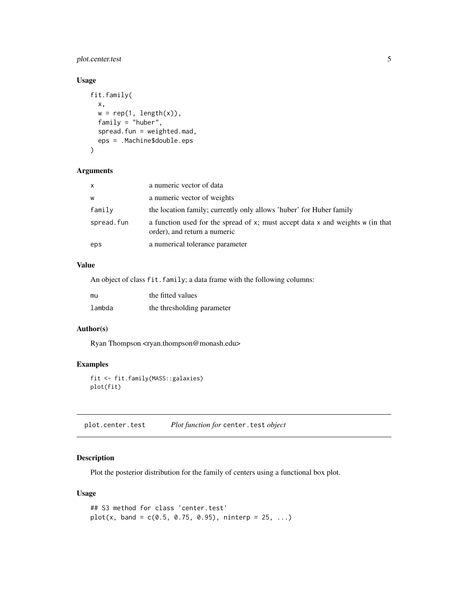#### <span id="page-4-0"></span>plot.center.test 5

#### Usage

```
fit.family(
  x,
 w = rep(1, length(x)),family = "huber",
  spread.fun = weighted.mad,
  eps = .Machine$double.eps
)
```
#### Arguments

| X          | a numeric vector of data                                                                                       |
|------------|----------------------------------------------------------------------------------------------------------------|
| W          | a numeric vector of weights                                                                                    |
| family     | the location family; currently only allows 'huber' for Huber family                                            |
| spread.fun | a function used for the spread of x; must accept data x and weights w (in that<br>order), and return a numeric |
| eps        | a numerical tolerance parameter                                                                                |

#### Value

An object of class fit.family; a data frame with the following columns:

| mu     | the fitted values          |
|--------|----------------------------|
| lambda | the thresholding parameter |

#### Author(s)

Ryan Thompson <ryan.thompson@monash.edu>

#### Examples

```
fit <- fit.family(MASS::galaxies)
plot(fit)
```
plot.center.test *Plot function for* center.test *object*

#### Description

Plot the posterior distribution for the family of centers using a functional box plot.

#### Usage

```
## S3 method for class 'center.test'
plot(x, band = c(0.5, 0.75, 0.95), ninterp = 25, ...)
```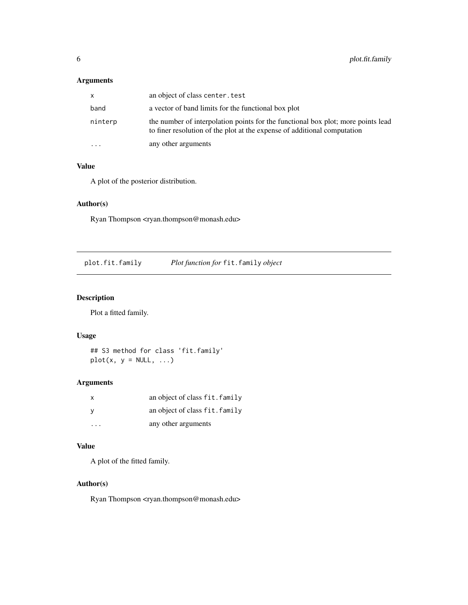#### <span id="page-5-0"></span>Arguments

| X                       | an object of class center, test                                                                                                                              |
|-------------------------|--------------------------------------------------------------------------------------------------------------------------------------------------------------|
| band                    | a vector of band limits for the functional box plot                                                                                                          |
| ninterp                 | the number of interpolation points for the functional box plot; more points lead<br>to finer resolution of the plot at the expense of additional computation |
| $\cdot$ $\cdot$ $\cdot$ | any other arguments                                                                                                                                          |

#### Value

A plot of the posterior distribution.

#### Author(s)

Ryan Thompson <ryan.thompson@monash.edu>

plot.fit.family *Plot function for* fit.family *object*

#### Description

Plot a fitted family.

#### Usage

## S3 method for class 'fit.family'  $plot(x, y = NULL, ...)$ 

#### Arguments

| x | an object of class fit. family |
|---|--------------------------------|
|   | an object of class fit. family |
| . | any other arguments            |

#### Value

A plot of the fitted family.

#### Author(s)

Ryan Thompson <ryan.thompson@monash.edu>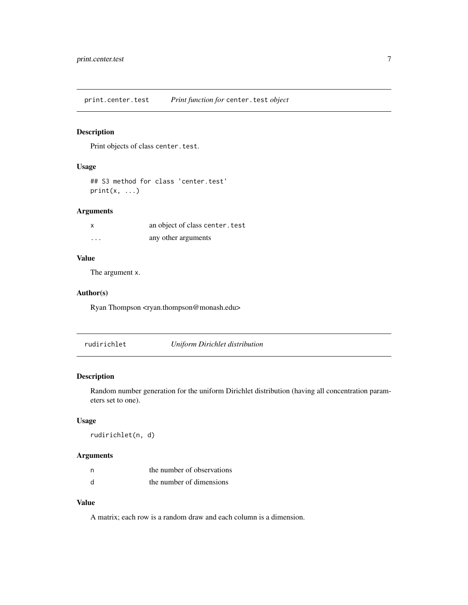<span id="page-6-0"></span>print.center.test *Print function for* center.test *object*

#### Description

Print objects of class center.test.

#### Usage

```
## S3 method for class 'center.test'
print(x, \ldots)
```
#### Arguments

| x       | an object of class center. test |
|---------|---------------------------------|
| $\cdot$ | any other arguments             |

#### Value

The argument x.

#### Author(s)

Ryan Thompson <ryan.thompson@monash.edu>

rudirichlet *Uniform Dirichlet distribution*

#### Description

Random number generation for the uniform Dirichlet distribution (having all concentration parameters set to one).

#### Usage

rudirichlet(n, d)

#### Arguments

| n | the number of observations |
|---|----------------------------|
| d | the number of dimensions   |

#### Value

A matrix; each row is a random draw and each column is a dimension.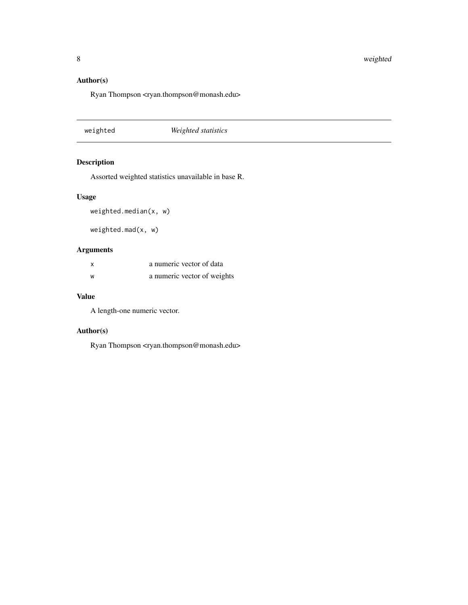#### <span id="page-7-0"></span>Author(s)

Ryan Thompson <ryan.thompson@monash.edu>

weighted *Weighted statistics*

#### Description

Assorted weighted statistics unavailable in base R.

#### Usage

```
weighted.median(x, w)
```
weighted.mad(x, w)

#### Arguments

| X | a numeric vector of data    |
|---|-----------------------------|
| W | a numeric vector of weights |

#### Value

A length-one numeric vector.

#### Author(s)

Ryan Thompson <ryan.thompson@monash.edu>